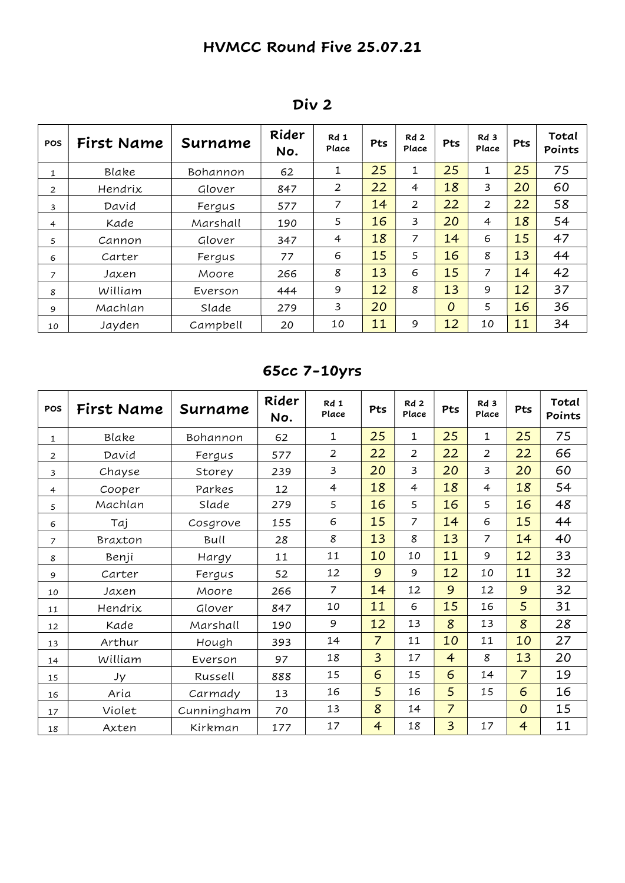| <b>POS</b>     | First Name | Surname  | Rider<br>No. | Rd 1<br>Place  | Pts | Rd <sub>2</sub><br>Place | Pts            | Rd 3<br>Place  | Pts | Total<br>Points |
|----------------|------------|----------|--------------|----------------|-----|--------------------------|----------------|----------------|-----|-----------------|
| 1              | Blake      | Bohannon | 62           | 1              | 25  | 1                        | 25             | 1              | 25  | 75              |
| $\overline{2}$ | Hendrix    | Glover   | 847          | 2              | 22  | 4                        | 18             | 3              | 20  | 60              |
| 3              | David      | Fergus   | 577          | 7              | 14  | 2                        | 22             | $\overline{2}$ | 22  | 58              |
| 4              | Kade       | Marshall | 190          | 5              | 16  | 3                        | 20             | 4              | 18  | 54              |
| 5              | Cannon     | Glover   | 347          | $\overline{4}$ | 18  | 7                        | 14             | 6              | 15  | 47              |
| 6              | Carter     | Fergus   | 77           | 6              | 15  | 5                        | 16             | 8              | 13  | 44              |
| $\overline{z}$ | Jaxen      | Moore    | 266          | 8              | 13  | 6                        | 15             | $\overline{z}$ | 14  | 42              |
| 8              | William    | Everson  | 444          | 9              | 12  | 8                        | 13             | 9              | 12  | 37              |
| 9              | Machlan    | Slade    | 279          | 3              | 20  |                          | $\overline{0}$ | 5              | 16  | 36              |
| 10             | Jayden     | Campbell | 20           | 10             | 11  | 9                        | 12             | 10             | 11  | 34              |

## Div 2

# 65cc 7-10yrs

| POS            | First Name | Surname    | Rider<br>No. | Rd 1<br>Place  | Pts            | Rd2<br>Place   | Pts            | Rd <sub>3</sub><br>Place | Pts            | Total<br>Points |
|----------------|------------|------------|--------------|----------------|----------------|----------------|----------------|--------------------------|----------------|-----------------|
| 1              | Blake      | Bohannon   | 62           | $\mathbf{1}$   | 25             | $\mathbf{1}$   | 25             | 1                        | 25             | 75              |
| 2              | David      | Fergus     | 577          | $\overline{2}$ | 22             | $\overline{2}$ | 22             | $\overline{2}$           | 22             | 66              |
| 3              | Chayse     | Storey     | 239          | 3              | 20             | 3              | 20             | 3                        | 20             | 60              |
| $\overline{4}$ | Cooper     | Parkes     | 12           | $\overline{4}$ | 18             | $\overline{4}$ | 18             | $\overline{4}$           | 18             | 54              |
| 5              | Machlan    | Slade      | 279          | 5              | 16             | 5              | 16             | 5                        | 16             | 48              |
| 6              | Taj        | Cosgrove   | 155          | 6              | 15             | $\overline{7}$ | 14             | 6                        | 15             | 44              |
| $\overline{7}$ | Braxton    | Bull       | 28           | 8              | 13             | 8              | 13             | $\overline{7}$           | 14             | 40              |
| 8              | Benji      | Hargy      | 11           | 11             | 10             | 10             | 11             | 9                        | 12             | 33              |
| 9              | Carter     | Fergus     | 52           | 12             | 9              | 9              | 12             | 10                       | 11             | 32              |
| 10             | Jaxen      | Moore      | 266          | 7              | 14             | 12             | 9              | 12                       | 9              | 32              |
| 11             | Hendrix    | Glover     | 847          | 10             | 11             | 6              | 15             | 16                       | 5              | 31              |
| 12             | Kade       | Marshall   | 190          | 9              | 12             | 13             | 8              | 13                       | 8              | 28              |
| 13             | Arthur     | Hough      | 393          | 14             | $\overline{7}$ | 11             | 10             | 11                       | 10             | 27              |
| 14             | William    | Everson    | 97           | 18             | $\overline{3}$ | 17             | $\overline{4}$ | 8                        | 13             | 20              |
| 15             | Jy         | Russell    | 888          | 15             | 6              | 15             | 6              | 14                       | $\overline{7}$ | 19              |
| 16             | Aria       | Carmady    | 13           | 16             | 5              | 16             | 5              | 15                       | 6              | 16              |
| 17             | Violet     | Cunningham | 70           | 13             | 8              | 14             | $\overline{7}$ |                          | $\overline{O}$ | 15              |
| 18             | Axten      | Kirkman    | 177          | 17             | $\overline{4}$ | 18             | $\overline{3}$ | 17                       | $\overline{4}$ | 11              |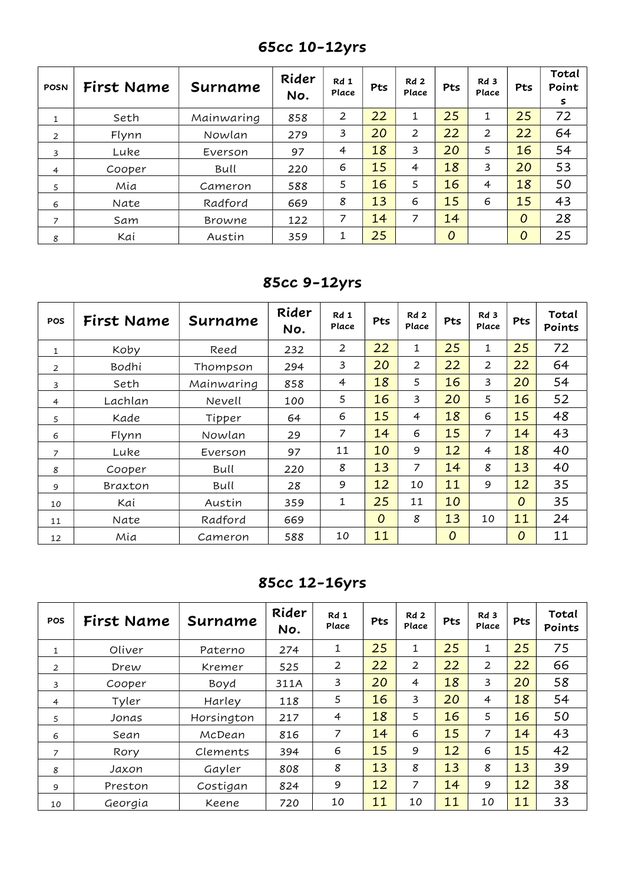| <b>POSN</b>    | First Name | Surname       | Rider<br>No. | Rd 1<br>Place  | Pts | Rd <sub>2</sub><br>Place | Pts            | Rd 3<br>Place | Pts            | Total<br>Point<br>s |
|----------------|------------|---------------|--------------|----------------|-----|--------------------------|----------------|---------------|----------------|---------------------|
| $\mathbf{1}$   | Seth       | Mainwaring    | 858          | 2              | 22  | 1                        | 25             | 1             | 25             | 72                  |
| 2              | Flynn      | Nowlan        | 279          | 3              | 20  | 2                        | 22             | 2             | 22             | 64                  |
| 3              | Luke       | Everson       | 97           | $\overline{4}$ | 18  | 3                        | 20             | 5             | 16             | 54                  |
| $\overline{4}$ | Cooper     | Bull          | 220          | 6              | 15  | $\overline{4}$           | 18             | 3             | 20             | 53                  |
| 5              | Mia        | Cameron       | 588          | 5              | 16  | 5                        | 16             | 4             | 18             | 50                  |
| 6              | Nate       | Radford       | 669          | 8              | 13  | 6                        | 15             | 6             | 15             | 43                  |
| $\overline{z}$ | Sam        | <b>Browne</b> | 122          | 7              | 14  | 7                        | 14             |               | 0              | 28                  |
| 8              | Kai        | Austin        | 359          | 1              | 25  |                          | $\overline{0}$ |               | $\overline{0}$ | 25                  |

65cc 10-12yrs

85cc 9-12yrs

| <b>POS</b>     | First Name | Surname    | Rider<br>No. | Rd 1<br>Place  | Pts            | Rd <sub>2</sub><br>Place | Pts            | Rd 3<br>Place  | Pts            | Total<br>Points |
|----------------|------------|------------|--------------|----------------|----------------|--------------------------|----------------|----------------|----------------|-----------------|
| $\mathbf{1}$   | Koby       | Reed       | 232          | $\overline{2}$ | 22             | 1                        | 25             | 1              | 25             | 72              |
| $\overline{2}$ | Bodhi      | Thompson   | 294          | 3              | 20             | $\overline{2}$           | 22             | $\overline{2}$ | 22             | 64              |
| 3              | Seth       | Mainwaring | 858          | 4              | 18             | 5                        | 16             | 3              | 20             | 54              |
| 4              | Lachlan    | Nevell     | 100          | 5              | 16             | 3                        | 20             | 5              | 16             | 52              |
| 5              | Kade       | Tipper     | 64           | 6              | 15             | $\overline{4}$           | 18             | 6              | 15             | 48              |
| 6              | Flynn      | Nowlan     | 29           | 7              | 14             | 6                        | 15             | 7              | 14             | 43              |
| $\overline{7}$ | Luke       | Everson    | 97           | 11             | 10             | 9                        | 12             | 4              | 18             | 40              |
| 8              | Cooper     | Bull       | 220          | 8              | 13             | 7                        | 14             | 8              | 13             | 40              |
| 9              | Braxton    | Bull       | 28           | 9              | 12             | 10                       | 11             | 9              | 12             | 35              |
| 10             | Kai        | Austin     | 359          | 1              | 25             | 11                       | 10             |                | $\overline{O}$ | 35              |
| 11             | Nate       | Radford    | 669          |                | $\overline{O}$ | 8                        | 13             | 10             | 11             | 24              |
| 12             | Mia        | Cameron    | 588          | 10             | 11             |                          | $\overline{O}$ |                | $\overline{0}$ | 11              |

85cc 12-16yrs

| <b>POS</b>     | First Name | Surname    | Rider<br>No. | Rd 1<br>Place | Pts | Rd <sub>2</sub><br>Place | <b>Pts</b> | Rd 3<br>Place  | Pts | Total<br>Points |
|----------------|------------|------------|--------------|---------------|-----|--------------------------|------------|----------------|-----|-----------------|
| $\mathbf{1}$   | Oliver     | Paterno    | 274          | 1             | 25  | 1                        | 25         | 1              | 25  | 75              |
| 2              | Drew       | Kremer     | 525          | 2             | 22  | $\overline{2}$           | 22         | $\overline{2}$ | 22  | 66              |
| 3              | Cooper     | Boyd       | 311A         | 3             | 20  | $\overline{4}$           | 18         | 3              | 20  | 58              |
| $\overline{4}$ | Tyler      | Harley     | 118          | 5             | 16  | 3                        | 20         | $\overline{4}$ | 18  | 54              |
| 5              | Jonas      | Horsington | 217          | 4             | 18  | 5                        | 16         | 5              | 16  | 50              |
| 6              | Sean       | McDean     | 816          | 7             | 14  | 6                        | 15         | 7              | 14  | 43              |
| $\overline{7}$ | Rory       | Clements   | 394          | 6             | 15  | 9                        | 12         | 6              | 15  | 42              |
| 8              | Jaxon      | Gayler     | 808          | 8             | 13  | 8                        | 13         | 8              | 13  | 39              |
| 9              | Preston    | Costigan   | 824          | 9             | 12  | 7                        | 14         | 9              | 12  | 38              |
| 10             | Georgia    | Keene      | 720          | 10            | 11  | 10                       | 11         | 10             | 11  | 33              |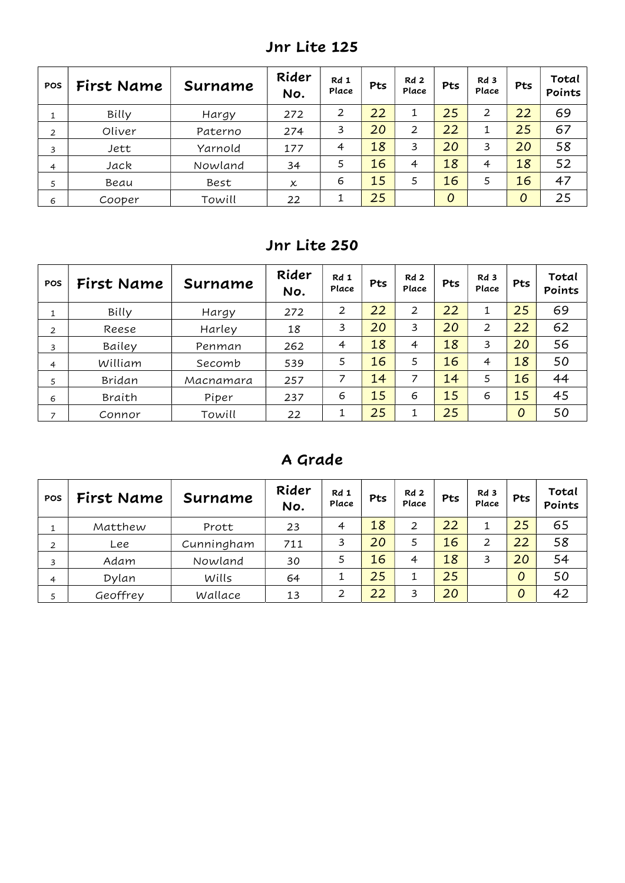| <b>POS</b> | First Name | Surname | Rider<br>No. | Rd 1<br>Place  | Pts | Rd 2<br>Place  | Pts            | Rd 3<br>Place | Pts | Total<br>Points |
|------------|------------|---------|--------------|----------------|-----|----------------|----------------|---------------|-----|-----------------|
|            | Billy      | Hargy   | 272          | 2              | 22  | 1              | 25             | 2             | 22  | 69              |
| 2          | Oliver     | Paterno | 274          | 3              | 20  | $\overline{2}$ | 22             | ┻             | 25  | 67              |
| 3          | Jett       | Yarnold | 177          | $\overline{4}$ | 18  | 3              | 20             | 3             | 20  | 58              |
| 4          | Jack       | Nowland | 34           | 5              | 16  | $\overline{4}$ | 18             | 4             | 18  | 52              |
| 5          | Beau       | Best    | x            | 6              | 15  | 5              | 16             | 5             | 16  | 47              |
| 6          | Cooper     | Towill  | 22           |                | 25  |                | $\overline{O}$ |               | 0   | 25              |

Jnr Lite 125

## Jnr Lite 250

| <b>POS</b>     | First Name | Surname   | Rider<br>No. | Rd 1<br>Place  | Pts | Rd <sub>2</sub><br>Place | Pts | Rd 3<br>Place  | <b>Pts</b> | Total<br>Points |
|----------------|------------|-----------|--------------|----------------|-----|--------------------------|-----|----------------|------------|-----------------|
|                | Billy      | Hargy     | 272          | 2              | 22  | 2                        | 22  |                | 25         | 69              |
| 2              | Reese      | Harley    | 18           | 3              | 20  | 3                        | 20  | $\overline{2}$ | 22         | 62              |
| 3              | Bailey     | Penman    | 262          | $\overline{4}$ | 18  | $\overline{4}$           | 18  | 3              | 20         | 56              |
| $\overline{4}$ | William    | Secomb    | 539          | 5              | 16  | 5                        | 16  | 4              | 18         | 50              |
| 5              | Bridan     | Macnamara | 257          | 7              | 14  | 7                        | 14  | 5              | 16         | 44              |
| 6              | Braith     | Piper     | 237          | 6              | 15  | 6                        | 15  | 6              | 15         | 45              |
| ⇁              | Connor     | Towill    | 22           |                | 25  | 1                        | 25  |                | 0          | 50              |

### A Grade

| <b>POS</b>     | First Name | Surname    | Rider<br>No. | Rd 1<br>Place | <b>Pts</b> | Rd <sub>2</sub><br>Place | Pts | Rd 3<br>Place | Pts | Total<br>Points |
|----------------|------------|------------|--------------|---------------|------------|--------------------------|-----|---------------|-----|-----------------|
|                | Matthew    | Prott      | 23           | 4             | 18         | 2                        | 22  |               | 25  | 65              |
| 2              | Lee        | Cunningham | 711          | 3             | 20         |                          | 16  | 2             | 22  | 58              |
| 3              | Adam       | Nowland    | 30           |               | 16         | $\overline{4}$           | 18  | 3             | 20  | 54              |
| $\overline{4}$ | Dylan      | Wills      | 64           |               | 25         |                          | 25  |               | 0   | 50              |
| 5              | Geoffrey   | Wallace    | 13           | っ             | 22         | 3                        | 20  |               | 0   | 42              |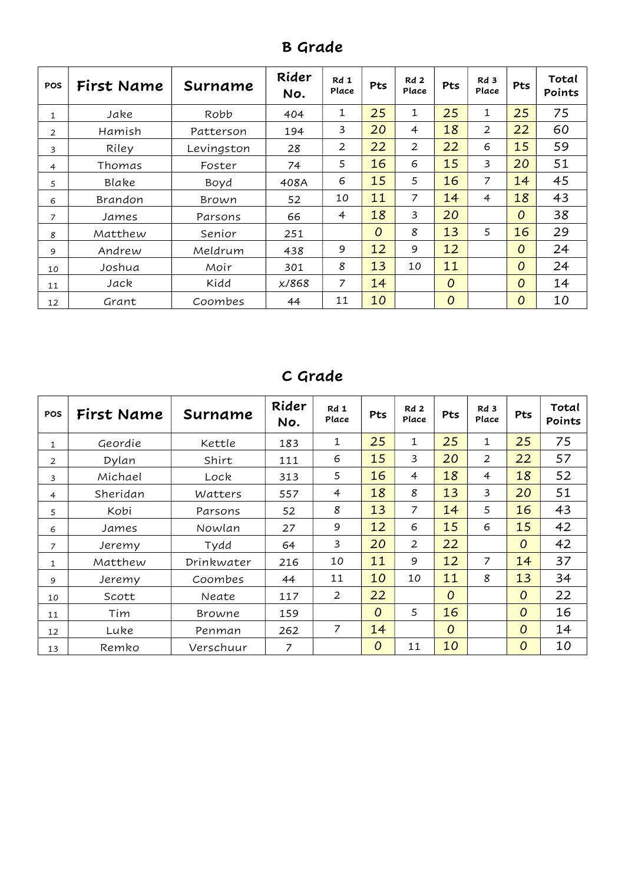| <b>POS</b>     | First Name | Surname    | Rider<br>No. | Rd 1<br>Place  | Pts            | Rd <sub>2</sub><br>Place | Pts            | Rd 3<br>Place  | Pts            | Total<br>Points |
|----------------|------------|------------|--------------|----------------|----------------|--------------------------|----------------|----------------|----------------|-----------------|
| 1              | Jake       | Robb       | 404          | 1              | 25             | 1                        | 25             | 1              | 25             | 75              |
| $\overline{2}$ | Hamish     | Patterson  | 194          | 3              | 20             | $\overline{4}$           | 18             | $\overline{2}$ | 22             | 60              |
| 3              | Riley      | Levingston | 28           | $\overline{2}$ | 22             | 2                        | 22             | 6              | 15             | 59              |
| 4              | Thomas     | Foster     | 74           | 5              | 16             | 6                        | 15             | 3              | 20             | 51              |
| 5              | Blake      | Boyd       | 408A         | 6              | 15             | 5                        | 16             | 7              | 14             | 45              |
| 6              | Brandon    | Brown      | 52           | 10             | 11             | 7                        | 14             | 4              | 18             | 43              |
| 7              | James      | Parsons    | 66           | $\overline{4}$ | 18             | 3                        | 20             |                | $\overline{O}$ | 38              |
| 8              | Matthew    | Senior     | 251          |                | $\overline{O}$ | 8                        | 13             | 5              | 16             | 29              |
| 9              | Andrew     | Meldrum    | 438          | 9              | 12             | 9                        | 12             |                | $\overline{O}$ | 24              |
| 10             | Joshua     | Moir       | 301          | 8              | 13             | 10                       | 11             |                | $\overline{O}$ | 24              |
| 11             | Jack       | Kidd       | x/868        | 7              | 14             |                          | $\overline{O}$ |                | $\overline{O}$ | 14              |
| 12             | Grant      | Coombes    | 44           | 11             | 10             |                          | $\overline{O}$ |                | $\overline{O}$ | 10              |

B Grade

# C Grade

| <b>POS</b>   | First Name | Surname    | Rider<br>No. | Rd 1<br>Place | Pts            | Rd2<br>Place   | Pts | Rd <sub>3</sub><br>Place | Pts            | Total<br>Points |
|--------------|------------|------------|--------------|---------------|----------------|----------------|-----|--------------------------|----------------|-----------------|
| 1            | Geordie    | Kettle     | 183          | $\mathbf{1}$  | 25             | 1              | 25  | $\mathbf{1}$             | 25             | 75              |
| 2            | Dylan      | Shirt      | 111          | 6             | 15             | 3              | 20  | $\overline{2}$           | 22             | 57              |
| 3            | Michael    | Lock       | 313          | 5             | 16             | $\overline{4}$ | 18  | 4                        | 18             | 52              |
| 4            | Sheridan   | Watters    | 557          | 4             | 18             | 8              | 13  | 3                        | 20             | 51              |
| 5            | Kobi       | Parsons    | 52           | 8             | 13             | $\overline{7}$ | 14  | 5                        | 16             | 43              |
| 6            | James      | Nowlan     | 27           | 9             | 12             | 6              | 15  | 6                        | 15             | 42              |
| 7            | Jeremy     | Tydd       | 64           | 3             | 20             | $\overline{2}$ | 22  |                          | $\overline{O}$ | 42              |
| $\mathbf{1}$ | Matthew    | Drinkwater | 216          | 10            | 11             | 9              | 12  | 7                        | 14             | 37              |
| 9            | Jeremy     | Coombes    | 44           | 11            | 10             | 10             | 11  | 8                        | 13             | 34              |
| 10           | Scott      | Neate      | 117          | 2             | 22             |                | 0   |                          | $\overline{O}$ | 22              |
| 11           | Tim        | Browne     | 159          |               | $\overline{O}$ | 5              | 16  |                          | $\overline{O}$ | 16              |
| 12           | Luke       | Penman     | 262          | 7             | 14             |                | 0   |                          | $\overline{O}$ | 14              |
| 13           | Remko      | Verschuur  | 7            |               | $\overline{O}$ | 11             | 10  |                          | $\overline{O}$ | 10              |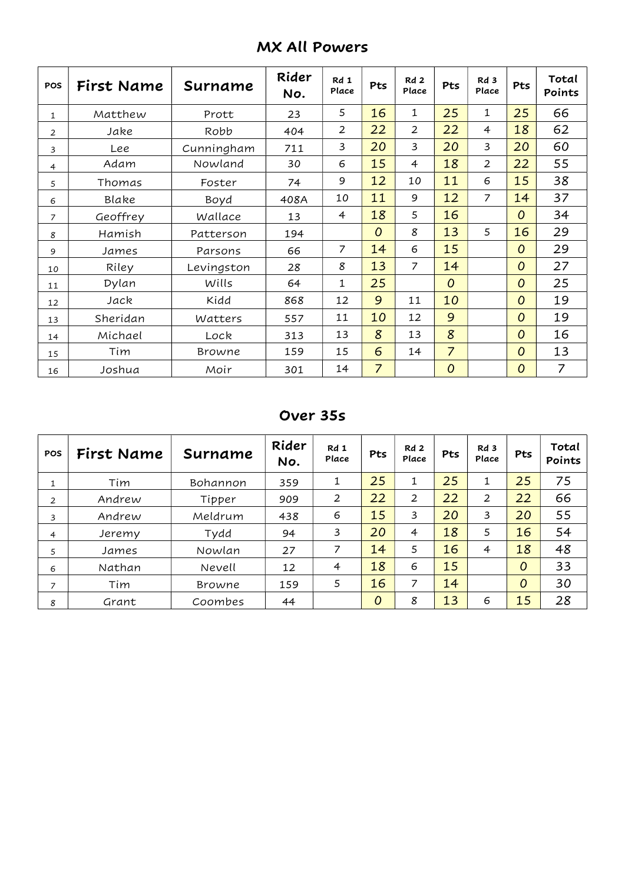|  | <b>MX All Powers</b> |
|--|----------------------|
|--|----------------------|

| POS            | First Name | Surname    | Rider<br>No. | Rd 1<br>Place  | Pts            | Rd2<br>Place   | Pts              | Rd 3<br>Place  | Pts            | Total<br>Points |
|----------------|------------|------------|--------------|----------------|----------------|----------------|------------------|----------------|----------------|-----------------|
| 1              | Matthew    | Prott      | 23           | 5              | 16             | $\mathbf{1}$   | 25               | 1              | 25             | 66              |
| $\overline{2}$ | Jake       | Robb       | 404          | $\overline{2}$ | 22             | $\overline{2}$ | 22               | $\overline{4}$ | 18             | 62              |
| 3              | Lee        | Cunningham | 711          | 3              | 20             | 3              | 20               | 3              | 20             | 60              |
| 4              | Adam       | Nowland    | 30           | 6              | 15             | $\overline{4}$ | 18               | $\overline{2}$ | 22             | 55              |
| 5              | Thomas     | Foster     | 74           | 9              | 12             | 10             | 11               | 6              | 15             | 38              |
| 6              | Blake      | Boyd       | 408A         | 10             | 11             | 9              | 12               | $\overline{7}$ | 14             | 37              |
| $\overline{7}$ | Geoffrey   | Wallace    | 13           | $\overline{4}$ | 18             | 5              | 16               |                | $\overline{O}$ | 34              |
| 8              | Hamish     | Patterson  | 194          |                | $\overline{O}$ | 8              | 13               | 5              | 16             | 29              |
| 9              | James      | Parsons    | 66           | $\overline{7}$ | 14             | 6              | 15               |                | $\overline{O}$ | 29              |
| 10             | Riley      | Levingston | 28           | 8              | 13             | 7              | 14               |                | $\overline{O}$ | 27              |
| 11             | Dylan      | Wills      | 64           | 1              | 25             |                | $\overline{O}$   |                | $\overline{O}$ | 25              |
| 12             | Jack       | Kidd       | 868          | 12             | 9              | 11             | 10               |                | 0              | 19              |
| 13             | Sheridan   | Watters    | 557          | 11             | 10             | 12             | 9                |                | 0              | 19              |
| 14             | Michael    | Lock       | 313          | 13             | 8              | 13             | 8                |                | $\overline{O}$ | 16              |
| 15             | Tim        | Browne     | 159          | 15             | 6              | 14             | $\overline{7}$   |                | $\overline{O}$ | 13              |
| 16             | Joshua     | Moir       | 301          | 14             | $\overline{7}$ |                | $\boldsymbol{O}$ |                | 0              | $\overline{z}$  |

Over 35s

| <b>POS</b>     | First Name | Surname  | Rider<br>No. | Rd 1<br>Place  | <b>Pts</b>     | Rd2<br>Place | Pts | Rd 3<br>Place  | <b>Pts</b> | Total<br>Points |
|----------------|------------|----------|--------------|----------------|----------------|--------------|-----|----------------|------------|-----------------|
| 1              | Tim        | Bohannon | 359          | 1              | 25             | 1            | 25  | 1              | 25         | 75              |
| $\overline{2}$ | Andrew     | Tipper   | 909          | 2              | 22             | 2            | 22  | $\overline{2}$ | 22         | 66              |
| 3              | Andrew     | Meldrum  | 438          | 6              | 15             | 3            | 20  | 3              | 20         | 55              |
| 4              | Jeremy     | Tydd     | 94           | 3              | 20             | 4            | 18  | 5              | 16         | 54              |
| 5              | James      | Nowlan   | 27           | 7              | 14             | 5            | 16  | $\overline{4}$ | 18         | 48              |
| 6              | Nathan     | Nevell   | 12           | $\overline{4}$ | 18             | 6            | 15  |                | 0          | 33              |
| 7              | Tim        | Browne   | 159          | 5              | 16             | 7            | 14  |                | 0          | 30              |
| 8              | Grant      | Coombes  | 44           |                | $\overline{0}$ | 8            | 13  | 6              | 15         | 28              |